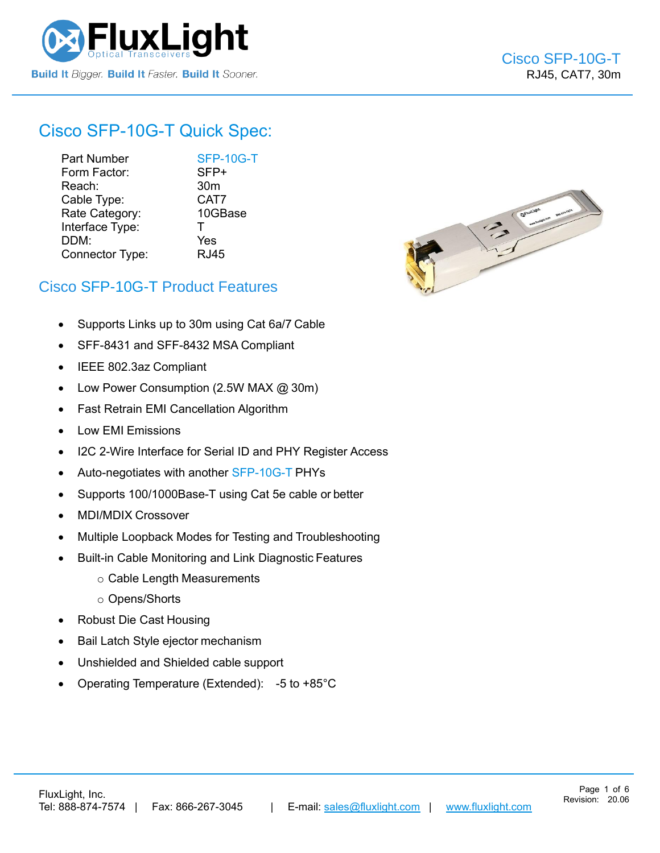

# Cisco [SFP-10G-T](https://www.fluxlight.com/sfp-10g-t/) Quick Spec:

Part Number [SFP-10G-T](https://www.fluxlight.com/sfp-10g-t/) Form Factor: SFP+ Reach: 30m Cable Type: CAT7 Rate Category: 10GBase Interface Type: T DDM: Yes Connector Type: RJ45



### Cisco [SFP-10G-T](https://www.fluxlight.com/sfp-10g-t/) Product Features

- Supports Links up to 30m using Cat 6a/7 Cable
- SFF-8431 and SFF-8432 MSA Compliant
- IEEE 802.3az Compliant
- Low Power Consumption (2.5W MAX @ 30m)
- Fast Retrain EMI Cancellation Algorithm
- Low EMI Emissions
- I2C 2-Wire Interface for Serial ID and PHY Register Access
- Auto-negotiates with another [SFP-10G-T](https://www.fluxlight.com/sfp-10g-t/) PHYs
- Supports 100/1000Base-T using Cat 5e cable or better
- MDI/MDIX Crossover
- Multiple Loopback Modes for Testing and Troubleshooting
- Built-in Cable Monitoring and Link Diagnostic Features
	- o Cable Length Measurements
	- o Opens/Shorts
- Robust Die Cast Housing
- Bail Latch Style ejector mechanism
- Unshielded and Shielded cable support
- Operating Temperature (Extended): -5 to +85°C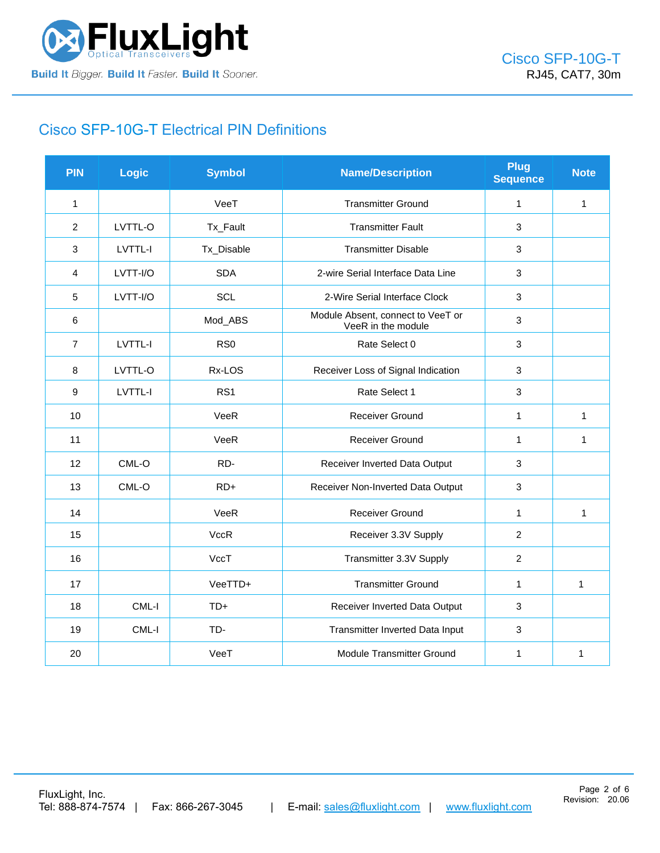

# Cisco [SFP-10G-T](https://www.fluxlight.com/sfp-10g-t/) Electrical PIN Definitions

| <b>PIN</b>     | Logic    | <b>Symbol</b>   | <b>Name/Description</b>                                 | <b>Plug</b><br><b>Sequence</b> | <b>Note</b>  |
|----------------|----------|-----------------|---------------------------------------------------------|--------------------------------|--------------|
| $\mathbf{1}$   |          | VeeT            | <b>Transmitter Ground</b>                               | $\mathbf{1}$                   | $\mathbf 1$  |
| $\overline{2}$ | LVTTL-O  | Tx_Fault        | <b>Transmitter Fault</b>                                | 3                              |              |
| 3              | LVTTL-I  | Tx_Disable      | <b>Transmitter Disable</b>                              | 3                              |              |
| 4              | LVTT-I/O | <b>SDA</b>      | 2-wire Serial Interface Data Line                       | $\mathbf{3}$                   |              |
| 5              | LVTT-I/O | SCL             | 2-Wire Serial Interface Clock                           | 3                              |              |
| 6              |          | Mod_ABS         | Module Absent, connect to VeeT or<br>VeeR in the module | 3                              |              |
| $\overline{7}$ | LVTTL-I  | RS <sub>0</sub> | Rate Select 0                                           | 3                              |              |
| 8              | LVTTL-O  | Rx-LOS          | Receiver Loss of Signal Indication                      | 3                              |              |
| 9              | LVTTL-I  | RS <sub>1</sub> | Rate Select 1                                           | $\mathbf{3}$                   |              |
| 10             |          | VeeR            | Receiver Ground                                         | $\mathbf{1}$                   | $\mathbf 1$  |
| 11             |          | VeeR            | Receiver Ground                                         | $\mathbf{1}$                   | $\mathbf{1}$ |
| 12             | CML-O    | RD-             | Receiver Inverted Data Output                           | 3                              |              |
| 13             | CML-O    | $RD+$           | Receiver Non-Inverted Data Output                       | 3                              |              |
| 14             |          | VeeR            | <b>Receiver Ground</b>                                  | $\mathbf{1}$                   | $\mathbf{1}$ |
| 15             |          | <b>VccR</b>     | Receiver 3.3V Supply                                    | $\overline{2}$                 |              |
| 16             |          | VccT            | Transmitter 3.3V Supply                                 | $\overline{2}$                 |              |
| 17             |          | VeeTTD+         | <b>Transmitter Ground</b>                               | $\mathbf{1}$                   | $\mathbf{1}$ |
| 18             | CML-I    | $TD+$           | Receiver Inverted Data Output                           | 3                              |              |
| 19             | CML-I    | TD-             | Transmitter Inverted Data Input                         | 3                              |              |
| 20             |          | VeeT            | Module Transmitter Ground                               | $\mathbf 1$                    | 1            |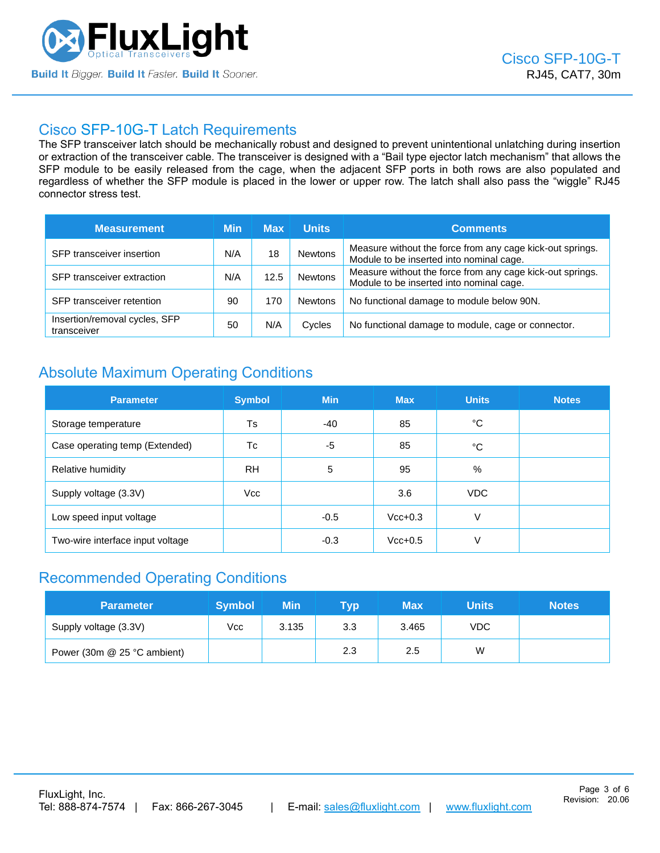

### Cisco [SFP-10G-T](https://www.fluxlight.com/sfp-10g-t/) Latch Requirements

The SFP transceiver latch should be mechanically robust and designed to prevent unintentional unlatching during insertion or extraction of the transceiver cable. The transceiver is designed with a "Bail type ejector latch mechanism" that allows the SFP module to be easily released from the cage, when the adjacent SFP ports in both rows are also populated and regardless of whether the SFP module is placed in the lower or upper row. The latch shall also pass the "wiggle" RJ45 connector stress test.

| <b>Measurement</b>                           | Min | <b>Max</b> | <b>Units</b>   | <b>Comments</b>                                                                                       |
|----------------------------------------------|-----|------------|----------------|-------------------------------------------------------------------------------------------------------|
| SFP transceiver insertion                    | N/A | 18         | <b>Newtons</b> | Measure without the force from any cage kick-out springs.<br>Module to be inserted into nominal cage. |
| SFP transceiver extraction                   | N/A | 12.5       | <b>Newtons</b> | Measure without the force from any cage kick-out springs.<br>Module to be inserted into nominal cage. |
| SFP transceiver retention                    | 90  | 170        | <b>Newtons</b> | No functional damage to module below 90N.                                                             |
| Insertion/removal cycles, SFP<br>transceiver | 50  | N/A        | Cycles         | No functional damage to module, cage or connector.                                                    |

# Absolute Maximum Operating Conditions

| <b>Parameter</b>                 | <b>Symbol</b> | <b>Min</b> | <b>Max</b> | <b>Units</b> | <b>Notes</b> |
|----------------------------------|---------------|------------|------------|--------------|--------------|
| Storage temperature              | Ts            | $-40$      | 85         | °C           |              |
| Case operating temp (Extended)   | Tc            | -5         | 85         | °C           |              |
| Relative humidity                | <b>RH</b>     | 5          | 95         | %            |              |
| Supply voltage (3.3V)            | Vcc           |            | 3.6        | <b>VDC</b>   |              |
| Low speed input voltage          |               | $-0.5$     | $Vcc+0.3$  | V            |              |
| Two-wire interface input voltage |               | $-0.3$     | $Vcc+0.5$  | V            |              |

## Recommended Operating Conditions

| <b>Parameter</b>            | <b>Symbol</b> | Min   | Tvp | <b>Max</b> | Units | <b>Notes</b> |
|-----------------------------|---------------|-------|-----|------------|-------|--------------|
| Supply voltage (3.3V)       | Vcc           | 3.135 | 3.3 | 3.465      | VDC.  |              |
| Power (30m @ 25 °C ambient) |               |       | 2.3 | 2.5        | W     |              |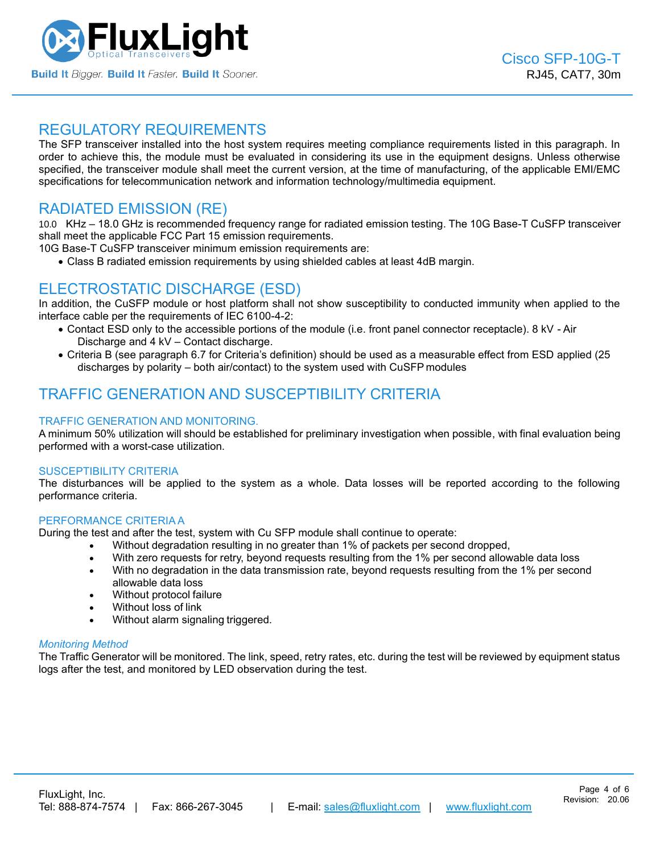

### REGULATORY REQUIREMENTS

The SFP transceiver installed into the host system requires meeting compliance requirements listed in this paragraph. In order to achieve this, the module must be evaluated in considering its use in the equipment designs. Unless otherwise specified, the transceiver module shall meet the current version, at the time of manufacturing, of the applicable EMI/EMC specifications for telecommunication network and information technology/multimedia equipment.

## RADIATED EMISSION (RE)

10.0 KHz – 18.0 GHz is recommended frequency range for radiated emission testing. The 10G Base-T CuSFP transceiver shall meet the applicable FCC Part 15 emission requirements.

10G Base-T CuSFP transceiver minimum emission requirements are:

• Class B radiated emission requirements by using shielded cables at least 4dB margin.

## ELECTROSTATIC DISCHARGE (ESD)

In addition, the CuSFP module or host platform shall not show susceptibility to conducted immunity when applied to the interface cable per the requirements of IEC 6100-4-2:

- Contact ESD only to the accessible portions of the module (i.e. front panel connector receptacle). 8 kV Air Discharge and 4 kV – Contact discharge.
- Criteria B (see paragraph 6.7 for Criteria's definition) should be used as a measurable effect from ESD applied (25 discharges by polarity – both air/contact) to the system used with CuSFP modules

# TRAFFIC GENERATION AND SUSCEPTIBILITY CRITERIA

### TRAFFIC GENERATION AND MONITORING.

A minimum 50% utilization will should be established for preliminary investigation when possible, with final evaluation being performed with a worst-case utilization.

#### SUSCEPTIBILITY CRITERIA

The disturbances will be applied to the system as a whole. Data losses will be reported according to the following performance criteria.

#### PERFORMANCE CRITERIA A

During the test and after the test, system with Cu SFP module shall continue to operate:

- Without degradation resulting in no greater than 1% of packets per second dropped,
- With zero requests for retry, beyond requests resulting from the 1% per second allowable data loss
- With no degradation in the data transmission rate, beyond requests resulting from the 1% per second allowable data loss
- Without protocol failure
- Without loss of link
- Without alarm signaling triggered.

### *Monitoring Method*

The Traffic Generator will be monitored. The link, speed, retry rates, etc. during the test will be reviewed by equipment status logs after the test, and monitored by LED observation during the test.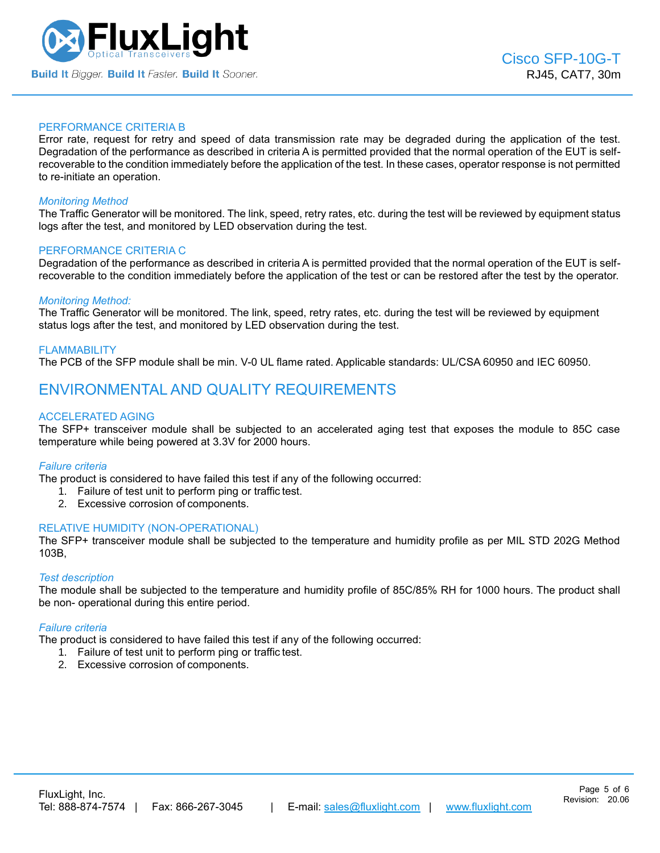

#### PERFORMANCE CRITERIA B

Error rate, request for retry and speed of data transmission rate may be degraded during the application of the test. Degradation of the performance as described in criteria A is permitted provided that the normal operation of the EUT is selfrecoverable to the condition immediately before the application of the test. In these cases, operator response is not permitted to re-initiate an operation.

#### *Monitoring Method*

The Traffic Generator will be monitored. The link, speed, retry rates, etc. during the test will be reviewed by equipment status logs after the test, and monitored by LED observation during the test.

#### PERFORMANCE CRITERIA C

Degradation of the performance as described in criteria A is permitted provided that the normal operation of the EUT is selfrecoverable to the condition immediately before the application of the test or can be restored after the test by the operator.

#### *Monitoring Method:*

The Traffic Generator will be monitored. The link, speed, retry rates, etc. during the test will be reviewed by equipment status logs after the test, and monitored by LED observation during the test.

#### FLAMMABILITY

The PCB of the SFP module shall be min. V-0 UL flame rated. Applicable standards: UL/CSA 60950 and IEC 60950.

### ENVIRONMENTAL AND QUALITY REQUIREMENTS

#### ACCELERATED AGING

The SFP+ transceiver module shall be subjected to an accelerated aging test that exposes the module to 85C case temperature while being powered at 3.3V for 2000 hours.

#### *Failure criteria*

The product is considered to have failed this test if any of the following occurred:

- 1. Failure of test unit to perform ping or traffic test.
- 2. Excessive corrosion of components.

#### RELATIVE HUMIDITY (NON-OPERATIONAL)

The SFP+ transceiver module shall be subjected to the temperature and humidity profile as per MIL STD 202G Method 103B,

#### *Test description*

The module shall be subjected to the temperature and humidity profile of 85C/85% RH for 1000 hours. The product shall be non- operational during this entire period.

#### *Failure criteria*

The product is considered to have failed this test if any of the following occurred:

- 1. Failure of test unit to perform ping or traffic test.
- 2. Excessive corrosion of components.